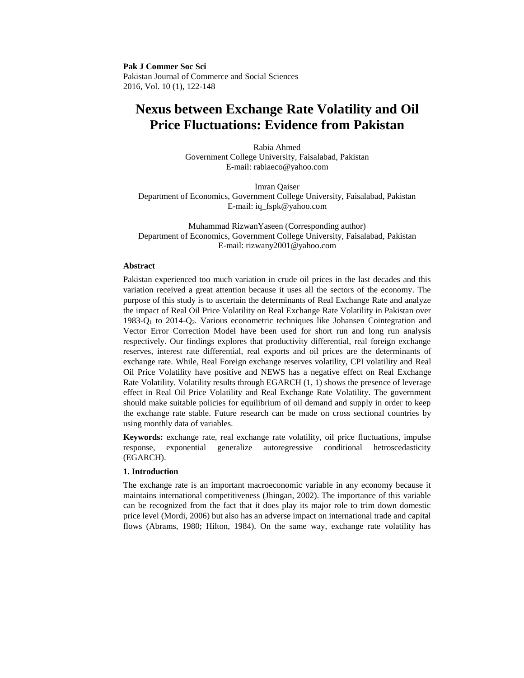**Pak J Commer Soc Sci** Pakistan Journal of Commerce and Social Sciences 2016, Vol. 10 (1), 122-148

# **Nexus between Exchange Rate Volatility and Oil Price Fluctuations: Evidence from Pakistan**

Rabia Ahmed Government College University, Faisalabad, Pakistan E-mail: rabiaeco@yahoo.com

Imran Qaiser Department of Economics, Government College University, Faisalabad, Pakistan E-mail: iq\_fspk@yahoo.com

Muhammad RizwanYaseen (Corresponding author) Department of Economics, Government College University, Faisalabad, Pakistan E-mail: rizwany2001@yahoo.com

#### **Abstract**

Pakistan experienced too much variation in crude oil prices in the last decades and this variation received a great attention because it uses all the sectors of the economy. The purpose of this study is to ascertain the determinants of Real Exchange Rate and analyze the impact of Real Oil Price Volatility on Real Exchange Rate Volatility in Pakistan over 1983-Q<sub>1</sub> to 2014-Q<sub>2</sub>. Various econometric techniques like Johansen Cointegration and Vector Error Correction Model have been used for short run and long run analysis respectively. Our findings explores that productivity differential, real foreign exchange reserves, interest rate differential, real exports and oil prices are the determinants of exchange rate. While, Real Foreign exchange reserves volatility, CPI volatility and Real Oil Price Volatility have positive and NEWS has a negative effect on Real Exchange Rate Volatility. Volatility results through EGARCH (1, 1) shows the presence of leverage effect in Real Oil Price Volatility and Real Exchange Rate Volatility. The government should make suitable policies for equilibrium of oil demand and supply in order to keep the exchange rate stable. Future research can be made on cross sectional countries by using monthly data of variables.

**Keywords:** exchange rate, real exchange rate volatility, oil price fluctuations, impulse response, exponential generalize autoregressive conditional hetroscedasticity (EGARCH).

## **1. Introduction**

The exchange rate is an important macroeconomic variable in any economy because it maintains international competitiveness (Jhingan, 2002). The importance of this variable can be recognized from the fact that it does play its major role to trim down domestic price level (Mordi, 2006) but also has an adverse impact on international trade and capital flows (Abrams, 1980; Hilton, 1984). On the same way, exchange rate volatility has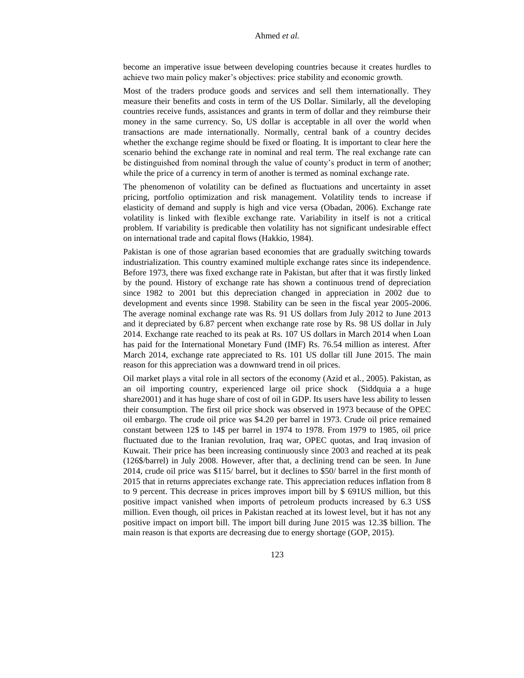become an imperative issue between developing countries because it creates hurdles to achieve two main policy maker's objectives: price stability and economic growth.

Most of the traders produce goods and services and sell them internationally. They measure their benefits and costs in term of the US Dollar. Similarly, all the developing countries receive funds, assistances and grants in term of dollar and they reimburse their money in the same currency. So, US dollar is acceptable in all over the world when transactions are made internationally. Normally, central bank of a country decides whether the exchange regime should be fixed or floating. It is important to clear here the scenario behind the exchange rate in nominal and real term. The real exchange rate can be distinguished from nominal through the value of county's product in term of another; while the price of a currency in term of another is termed as nominal exchange rate.

The phenomenon of volatility can be defined as fluctuations and uncertainty in asset pricing, portfolio optimization and risk management. Volatility tends to increase if elasticity of demand and supply is high and vice versa (Obadan, 2006). Exchange rate volatility is linked with flexible exchange rate. Variability in itself is not a critical problem. If variability is predicable then volatility has not significant undesirable effect on international trade and capital flows (Hakkio, 1984).

Pakistan is one of those agrarian based economies that are gradually switching towards industrialization. This country examined multiple exchange rates since its independence. Before 1973, there was fixed exchange rate in Pakistan, but after that it was firstly linked by the pound. History of exchange rate has shown a continuous trend of depreciation since 1982 to 2001 but this depreciation changed in appreciation in 2002 due to development and events since 1998. Stability can be seen in the fiscal year 2005-2006. The average nominal exchange rate was Rs. 91 US dollars from July 2012 to June 2013 and it depreciated by 6.87 percent when exchange rate rose by Rs. 98 US dollar in July 2014. Exchange rate reached to its peak at Rs. 107 US dollars in March 2014 when Loan has paid for the International Monetary Fund (IMF) Rs. 76.54 million as interest. After March 2014, exchange rate appreciated to Rs. 101 US dollar till June 2015. The main reason for this appreciation was a downward trend in oil prices.

Oil market plays a vital role in all sectors of the economy (Azid et al*.,* 2005). Pakistan, as an oil importing country, experienced large oil price shock (Siddquia a a huge share2001) and it has huge share of cost of oil in GDP. Its users have less ability to lessen their consumption. The first oil price shock was observed in 1973 because of the OPEC oil embargo. The crude oil price was \$4.20 per barrel in 1973. Crude oil price remained constant between 12\$ to 14\$ per barrel in 1974 to 1978. From 1979 to 1985, oil price fluctuated due to the Iranian revolution, Iraq war, OPEC quotas, and Iraq invasion of Kuwait. Their price has been increasing continuously since 2003 and reached at its peak (126\$/barrel) in July 2008. However, after that, a declining trend can be seen. In June 2014, crude oil price was \$115/ barrel, but it declines to \$50/ barrel in the first month of 2015 that in returns appreciates exchange rate. This appreciation reduces inflation from 8 to 9 percent. This decrease in prices improves import bill by \$ 691US million, but this positive impact vanished when imports of petroleum products increased by 6.3 US\$ million. Even though, oil prices in Pakistan reached at its lowest level, but it has not any positive impact on import bill. The import bill during June 2015 was 12.3\$ billion. The main reason is that exports are decreasing due to energy shortage (GOP, 2015).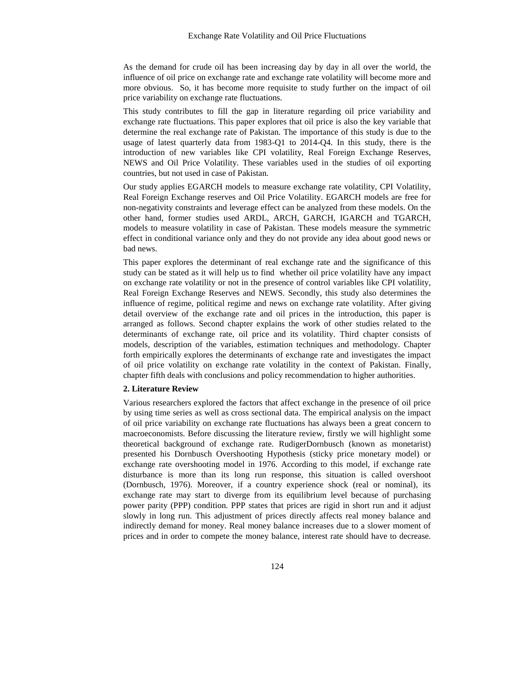As the demand for crude oil has been increasing day by day in all over the world, the influence of oil price on exchange rate and exchange rate volatility will become more and more obvious. So, it has become more requisite to study further on the impact of oil price variability on exchange rate fluctuations.

This study contributes to fill the gap in literature regarding oil price variability and exchange rate fluctuations. This paper explores that oil price is also the key variable that determine the real exchange rate of Pakistan. The importance of this study is due to the usage of latest quarterly data from 1983-Q1 to 2014-Q4. In this study, there is the introduction of new variables like CPI volatility, Real Foreign Exchange Reserves, NEWS and Oil Price Volatility. These variables used in the studies of oil exporting countries, but not used in case of Pakistan.

Our study applies EGARCH models to measure exchange rate volatility, CPI Volatility, Real Foreign Exchange reserves and Oil Price Volatility. EGARCH models are free for non-negativity constraints and leverage effect can be analyzed from these models. On the other hand, former studies used ARDL, ARCH, GARCH, IGARCH and TGARCH, models to measure volatility in case of Pakistan. These models measure the symmetric effect in conditional variance only and they do not provide any idea about good news or bad news.

This paper explores the determinant of real exchange rate and the significance of this study can be stated as it will help us to find whether oil price volatility have any impact on exchange rate volatility or not in the presence of control variables like CPI volatility, Real Foreign Exchange Reserves and NEWS. Secondly, this study also determines the influence of regime, political regime and news on exchange rate volatility. After giving detail overview of the exchange rate and oil prices in the introduction, this paper is arranged as follows. Second chapter explains the work of other studies related to the determinants of exchange rate, oil price and its volatility. Third chapter consists of models, description of the variables, estimation techniques and methodology. Chapter forth empirically explores the determinants of exchange rate and investigates the impact of oil price volatility on exchange rate volatility in the context of Pakistan. Finally, chapter fifth deals with conclusions and policy recommendation to higher authorities.

## **2. Literature Review**

Various researchers explored the factors that affect exchange in the presence of oil price by using time series as well as cross sectional data. The empirical analysis on the impact of oil price variability on exchange rate fluctuations has always been a great concern to macroeconomists. Before discussing the literature review, firstly we will highlight some theoretical background of exchange rate. RudigerDornbusch (known as monetarist) presented his Dornbusch Overshooting Hypothesis (sticky price monetary model) or exchange rate overshooting model in 1976. According to this model, if exchange rate disturbance is more than its long run response, this situation is called overshoot (Dornbusch, 1976). Moreover, if a country experience shock (real or nominal), its exchange rate may start to diverge from its equilibrium level because of purchasing power parity (PPP) condition. PPP states that prices are rigid in short run and it adjust slowly in long run. This adjustment of prices directly affects real money balance and indirectly demand for money. Real money balance increases due to a slower moment of prices and in order to compete the money balance, interest rate should have to decrease.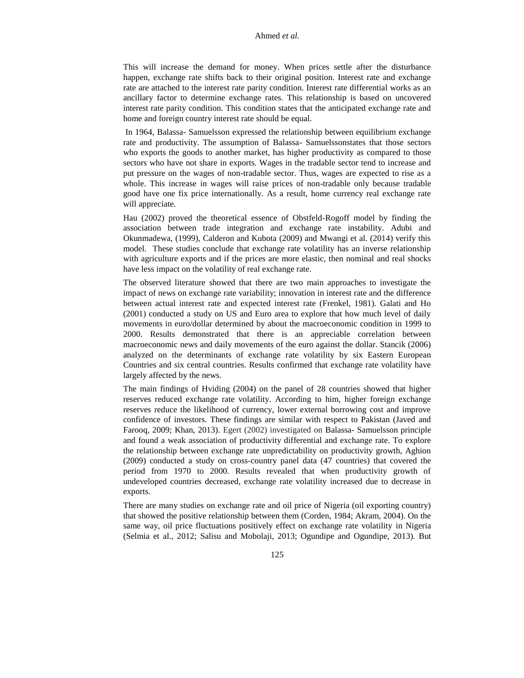This will increase the demand for money. When prices settle after the disturbance happen, exchange rate shifts back to their original position. Interest rate and exchange rate are attached to the interest rate parity condition. Interest rate differential works as an ancillary factor to determine exchange rates. This relationship is based on uncovered interest rate parity condition. This condition states that the anticipated exchange rate and home and foreign country interest rate should be equal.

In 1964, Balassa- Samuelsson expressed the relationship between equilibrium exchange rate and productivity. The assumption of Balassa- Samuelssonstates that those sectors who exports the goods to another market, has higher productivity as compared to those sectors who have not share in exports. Wages in the tradable sector tend to increase and put pressure on the wages of non-tradable sector. Thus, wages are expected to rise as a whole. This increase in wages will raise prices of non-tradable only because tradable good have one fix price internationally. As a result, home currency real exchange rate will appreciate.

Hau (2002) proved the theoretical essence of Obstfeld-Rogoff model by finding the association between trade integration and exchange rate instability. Adubi and Okunmadewa, (1999), Calderon and Kubota (2009) and Mwangi et al. (2014) verify this model. These studies conclude that exchange rate volatility has an inverse relationship with agriculture exports and if the prices are more elastic, then nominal and real shocks have less impact on the volatility of real exchange rate.

The observed literature showed that there are two main approaches to investigate the impact of news on exchange rate variability; innovation in interest rate and the difference between actual interest rate and expected interest rate (Frenkel, 1981). Galati and Ho (2001) conducted a study on US and Euro area to explore that how much level of daily movements in euro/dollar determined by about the macroeconomic condition in 1999 to 2000. Results demonstrated that there is an appreciable correlation between macroeconomic news and daily movements of the euro against the dollar. Stancik (2006) analyzed on the determinants of exchange rate volatility by six Eastern European Countries and six central countries. Results confirmed that exchange rate volatility have largely affected by the news.

The main findings of Hviding (2004) on the panel of 28 countries showed that higher reserves reduced exchange rate volatility. According to him, higher foreign exchange reserves reduce the likelihood of currency, lower external borrowing cost and improve confidence of investors. These findings are similar with respect to Pakistan (Javed and Farooq, 2009; Khan, 2013). Egert (2002) investigated on Balassa- Samuelsson principle and found a weak association of productivity differential and exchange rate. To explore the relationship between exchange rate unpredictability on productivity growth, Aghion (2009) conducted a study on cross-country panel data (47 countries) that covered the period from 1970 to 2000. Results revealed that when productivity growth of undeveloped countries decreased, exchange rate volatility increased due to decrease in exports.

There are many studies on exchange rate and oil price of Nigeria (oil exporting country) that showed the positive relationship between them (Corden, 1984; Akram, 2004). On the same way, oil price fluctuations positively effect on exchange rate volatility in Nigeria (Selmia et al., 2012; Salisu and Mobolaji, 2013; Ogundipe and Ogundipe, 2013). But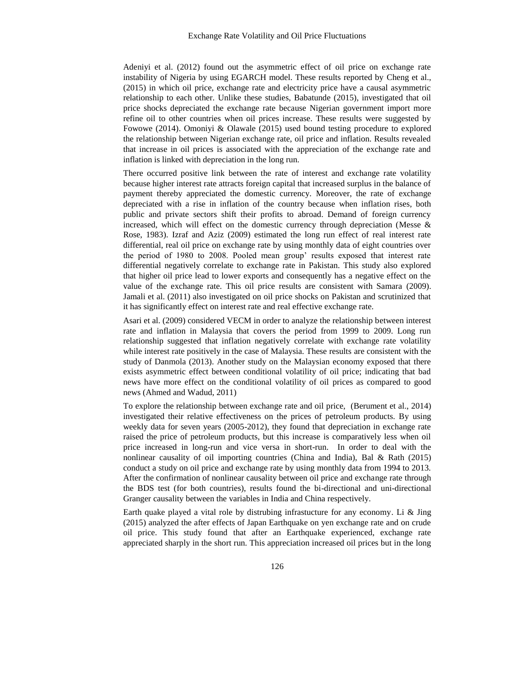Adeniyi et al. (2012) found out the asymmetric effect of oil price on exchange rate instability of Nigeria by using EGARCH model. These results reported by Cheng et al., (2015) in which oil price, exchange rate and electricity price have a causal asymmetric relationship to each other. Unlike these studies, Babatunde (2015), investigated that oil price shocks depreciated the exchange rate because Nigerian government import more refine oil to other countries when oil prices increase. These results were suggested by Fowowe (2014). Omoniyi & Olawale (2015) used bound testing procedure to explored the relationship between Nigerian exchange rate, oil price and inflation. Results revealed that increase in oil prices is associated with the appreciation of the exchange rate and inflation is linked with depreciation in the long run.

There occurred positive link between the rate of interest and exchange rate volatility because higher interest rate attracts foreign capital that increased surplus in the balance of payment thereby appreciated the domestic currency. Moreover, the rate of exchange depreciated with a rise in inflation of the country because when inflation rises, both public and private sectors shift their profits to abroad. Demand of foreign currency increased, which will effect on the domestic currency through depreciation (Messe & Rose, 1983). Izraf and Aziz (2009) estimated the long run effect of real interest rate differential, real oil price on exchange rate by using monthly data of eight countries over the period of 1980 to 2008. Pooled mean group' results exposed that interest rate differential negatively correlate to exchange rate in Pakistan. This study also explored that higher oil price lead to lower exports and consequently has a negative effect on the value of the exchange rate. This oil price results are consistent with Samara (2009). Jamali et al. (2011) also investigated on oil price shocks on Pakistan and scrutinized that it has significantly effect on interest rate and real effective exchange rate.

Asari et al. (2009) considered VECM in order to analyze the relationship between interest rate and inflation in Malaysia that covers the period from 1999 to 2009. Long run relationship suggested that inflation negatively correlate with exchange rate volatility while interest rate positively in the case of Malaysia. These results are consistent with the study of Danmola (2013). Another study on the Malaysian economy exposed that there exists asymmetric effect between conditional volatility of oil price; indicating that bad news have more effect on the conditional volatility of oil prices as compared to good news (Ahmed and Wadud, 2011)

To explore the relationship between exchange rate and oil price, (Berument et al., 2014) investigated their relative effectiveness on the prices of petroleum products. By using weekly data for seven years (2005-2012), they found that depreciation in exchange rate raised the price of petroleum products, but this increase is comparatively less when oil price increased in long-run and vice versa in short-run. In order to deal with the nonlinear causality of oil importing countries (China and India), Bal & Rath (2015) conduct a study on oil price and exchange rate by using monthly data from 1994 to 2013. After the confirmation of nonlinear causality between oil price and exchange rate through the BDS test (for both countries), results found the bi-directional and uni-directional Granger causality between the variables in India and China respectively.

Earth quake played a vital role by distrubing infrastucture for any economy. Li & Jing (2015) analyzed the after effects of Japan Earthquake on yen exchange rate and on crude oil price. This study found that after an Earthquake experienced, exchange rate appreciated sharply in the short run. This appreciation increased oil prices but in the long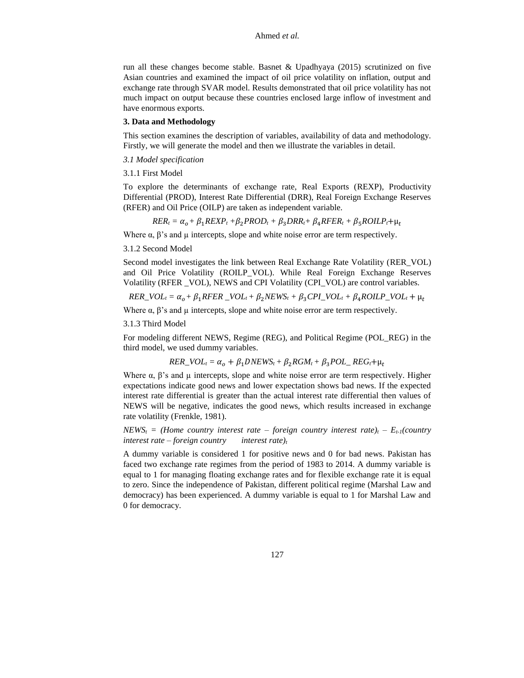run all these changes become stable. Basnet & Upadhyaya (2015) scrutinized on five Asian countries and examined the impact of oil price volatility on inflation, output and exchange rate through SVAR model. Results demonstrated that oil price volatility has not much impact on output because these countries enclosed large inflow of investment and have enormous exports.

#### **3. Data and Methodology**

This section examines the description of variables, availability of data and methodology. Firstly, we will generate the model and then we illustrate the variables in detail.

- *3.1 Model specification*
- 3.1.1 First Model

To explore the determinants of exchange rate, Real Exports (REXP), Productivity Differential (PROD), Interest Rate Differential (DRR), Real Foreign Exchange Reserves (RFER) and Oil Price (OILP) are taken as independent variable.

 $RER_t = \alpha_o + \beta_1 REXP_t + \beta_2 PROD_t + \beta_3 DRR_t + \beta_4 RFER_t + \beta_5 ROILP_t + \mu_t$ 

Where  $\alpha$ ,  $\beta$ 's and  $\mu$  intercepts, slope and white noise error are term respectively.

#### 3.1.2 Second Model

Second model investigates the link between Real Exchange Rate Volatility (RER\_VOL) and Oil Price Volatility (ROILP\_VOL). While Real Foreign Exchange Reserves Volatility (RFER \_VOL), NEWS and CPI Volatility (CPI\_VOL) are control variables.

 $RER\_VOL_t = \alpha_o + \beta_1 RFER\_VOL_t + \beta_2 NEWS_t + \beta_3 CPL\_VOL_t + \beta_4 ROLL P\_VOL_t + \mu_t$ 

Where  $\alpha$ ,  $\beta$ 's and  $\mu$  intercepts, slope and white noise error are term respectively.

3.1.3 Third Model

For modeling different NEWS, Regime (REG), and Political Regime (POL\_REG) in the third model, we used dummy variables.

$$
RER\_VOL_t = \alpha_o + \beta_1 DNEWS_t + \beta_2 RGM_t + \beta_3 POL\_REG_t + \mu_t
$$

Where  $\alpha$ ,  $\beta$ 's and  $\mu$  intercepts, slope and white noise error are term respectively. Higher expectations indicate good news and lower expectation shows bad news. If the expected interest rate differential is greater than the actual interest rate differential then values of NEWS will be negative, indicates the good news, which results increased in exchange rate volatility (Frenkle, 1981).

*NEWS<sub>t</sub>* = (*Home country interest rate – foreign country interest rate)<sub><i>t*</sub> –  $E_{t-1}$ (country *interest rate – foreign country interest rate)<sup>t</sup>*

A dummy variable is considered 1 for positive news and 0 for bad news. Pakistan has faced two exchange rate regimes from the period of 1983 to 2014. A dummy variable is equal to 1 for managing floating exchange rates and for flexible exchange rate it is equal to zero. Since the independence of Pakistan, different political regime (Marshal Law and democracy) has been experienced. A dummy variable is equal to 1 for Marshal Law and 0 for democracy.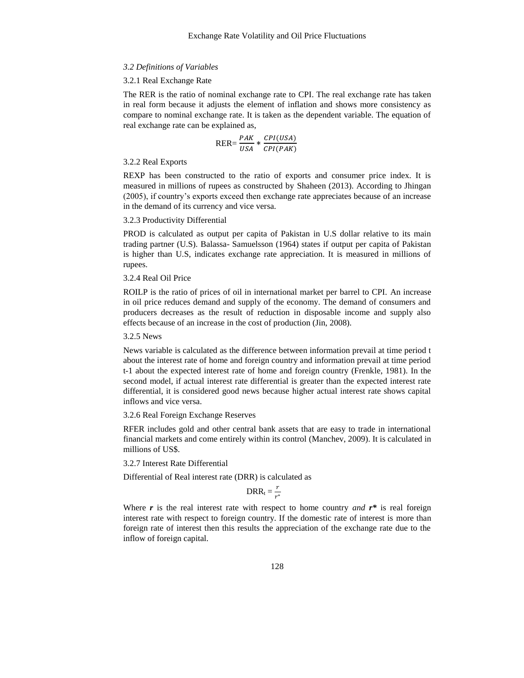#### *3.2 Definitions of Variables*

#### 3.2.1 Real Exchange Rate

The RER is the ratio of nominal exchange rate to CPI. The real exchange rate has taken in real form because it adjusts the element of inflation and shows more consistency as compare to nominal exchange rate. It is taken as the dependent variable. The equation of real exchange rate can be explained as,

$$
RER = \frac{PAK}{USA} * \frac{CPI(USA)}{CPI(PAK)}
$$

3.2.2 Real Exports

REXP has been constructed to the ratio of exports and consumer price index. It is measured in millions of rupees as constructed by Shaheen (2013). According to Jhingan (2005), if country's exports exceed then exchange rate appreciates because of an increase in the demand of its currency and vice versa.

#### 3.2.3 Productivity Differential

PROD is calculated as output per capita of Pakistan in U.S dollar relative to its main trading partner (U.S). Balassa- Samuelsson (1964) states if output per capita of Pakistan is higher than U.S, indicates exchange rate appreciation. It is measured in millions of rupees.

## 3.2.4 Real Oil Price

ROILP is the ratio of prices of oil in international market per barrel to CPI. An increase in oil price reduces demand and supply of the economy. The demand of consumers and producers decreases as the result of reduction in disposable income and supply also effects because of an increase in the cost of production (Jin, 2008).

3.2.5 News

News variable is calculated as the difference between information prevail at time period t about the interest rate of home and foreign country and information prevail at time period t-1 about the expected interest rate of home and foreign country (Frenkle, 1981). In the second model, if actual interest rate differential is greater than the expected interest rate differential, it is considered good news because higher actual interest rate shows capital inflows and vice versa.

#### 3.2.6 Real Foreign Exchange Reserves

RFER includes gold and other central bank assets that are easy to trade in international financial markets and come entirely within its control (Manchev, 2009). It is calculated in millions of US\$.

#### 3.2.7 Interest Rate Differential

Differential of Real interest rate (DRR) is calculated as

$$
DRR_t = \frac{r}{r^*}
$$

Where  $r$  is the real interest rate with respect to home country *and*  $r^*$  is real foreign interest rate with respect to foreign country. If the domestic rate of interest is more than foreign rate of interest then this results the appreciation of the exchange rate due to the inflow of foreign capital.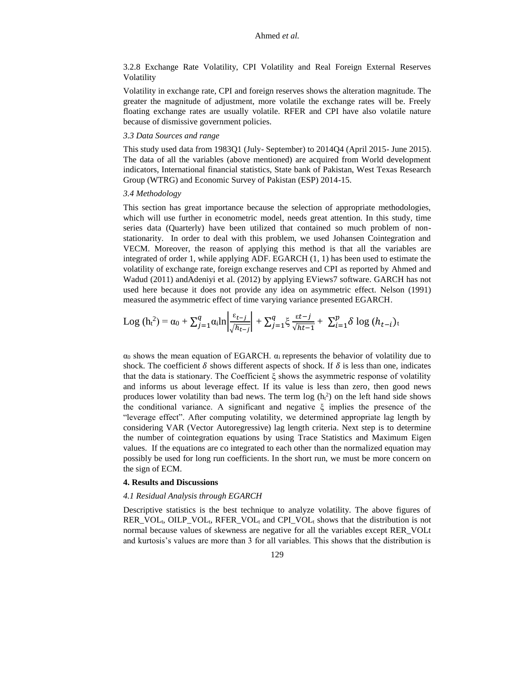3.2.8 Exchange Rate Volatility, CPI Volatility and Real Foreign External Reserves Volatility

Volatility in exchange rate, CPI and foreign reserves shows the alteration magnitude. The greater the magnitude of adjustment, more volatile the exchange rates will be. Freely floating exchange rates are usually volatile. RFER and CPI have also volatile nature because of dismissive government policies.

### *3.3 Data Sources and range*

This study used data from 1983Q1 (July- September) to 2014Q4 (April 2015- June 2015). The data of all the variables (above mentioned) are acquired from World development indicators, International financial statistics, State bank of Pakistan, West Texas Research Group (WTRG) and Economic Survey of Pakistan (ESP) 2014-15.

### *3.4 Methodology*

This section has great importance because the selection of appropriate methodologies, which will use further in econometric model, needs great attention. In this study, time series data (Quarterly) have been utilized that contained so much problem of nonstationarity. In order to deal with this problem, we used Johansen Cointegration and VECM. Moreover, the reason of applying this method is that all the variables are integrated of order 1, while applying ADF. EGARCH (1, 1) has been used to estimate the volatility of exchange rate, foreign exchange reserves and CPI as reported by Ahmed and Wadud (2011) andAdeniyi et al. (2012) by applying EViews7 software. GARCH has not used here because it does not provide any idea on asymmetric effect. Nelson (1991) measured the asymmetric effect of time varying variance presented EGARCH.

Log 
$$
(h_t^2)
$$
 =  $\alpha_0 + \sum_{j=1}^q \alpha_i \ln \left| \frac{\varepsilon_{t-j}}{\sqrt{h_{t-j}}} \right| + \sum_{j=1}^q \xi \frac{\varepsilon_t - j}{\sqrt{h_{t-1}}} + \sum_{i=1}^p \delta \log (h_{t-i})_t$ 

 $\alpha_0$  shows the mean equation of EGARCH.  $\alpha_i$  represents the behavior of volatility due to shock. The coefficient  $\delta$  shows different aspects of shock. If  $\delta$  is less than one, indicates that the data is stationary. The Coefficient ξ shows the asymmetric response of volatility and informs us about leverage effect. If its value is less than zero, then good news produces lower volatility than bad news. The term  $log(h_t^2)$  on the left hand side shows the conditional variance. A significant and negative  $\xi$  implies the presence of the "leverage effect". After computing volatility, we determined appropriate lag length by considering VAR (Vector Autoregressive) lag length criteria. Next step is to determine the number of cointegration equations by using Trace Statistics and Maximum Eigen values. If the equations are co integrated to each other than the normalized equation may possibly be used for long run coefficients. In the short run, we must be more concern on the sign of ECM.

#### **4. Results and Discussions**

#### *4.1 Residual Analysis through EGARCH*

Descriptive statistics is the best technique to analyze volatility. The above figures of  $RER_VOL_t$ , OILP\_VOL<sub>t</sub>, RFER\_VOL<sub>t</sub> and CPI\_VOL<sub>t</sub> shows that the distribution is not normal because values of skewness are negative for all the variables except RER\_VOLt and kurtosis's values are more than 3 for all variables. This shows that the distribution is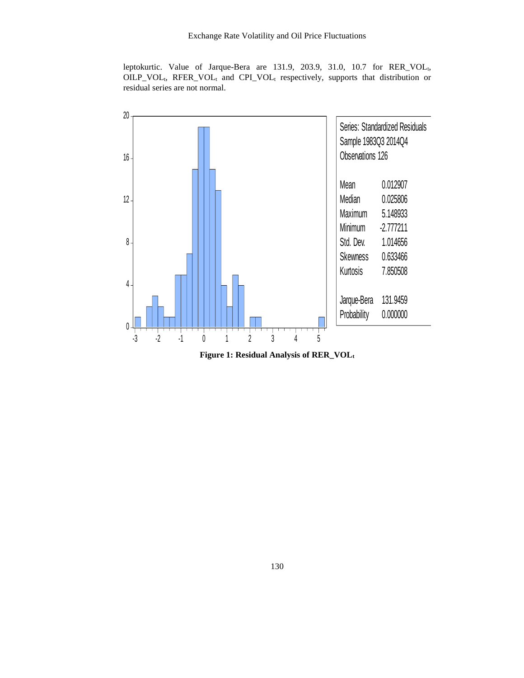leptokurtic. Value of Jarque-Bera are 131.9, 203.9, 31.0, 10.7 for RER\_VOL<sub>t,</sub> OILP\_VOL<sub>t</sub>, RFER\_VOL<sub>t</sub> and CPI\_VOL<sub>t</sub> respectively, supports that distribution or residual series are not normal.



**Figure 1: Residual Analysis of RER\_VOL<sup>t</sup>**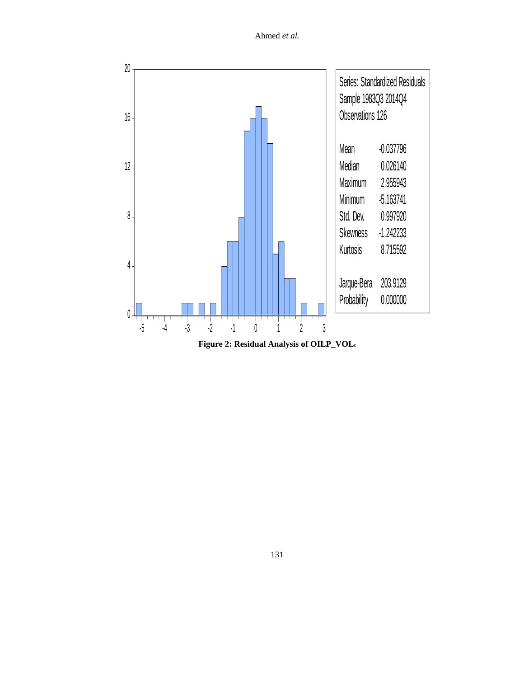

**Figure 2: Residual Analysis of OILP\_VOL<sup>t</sup>**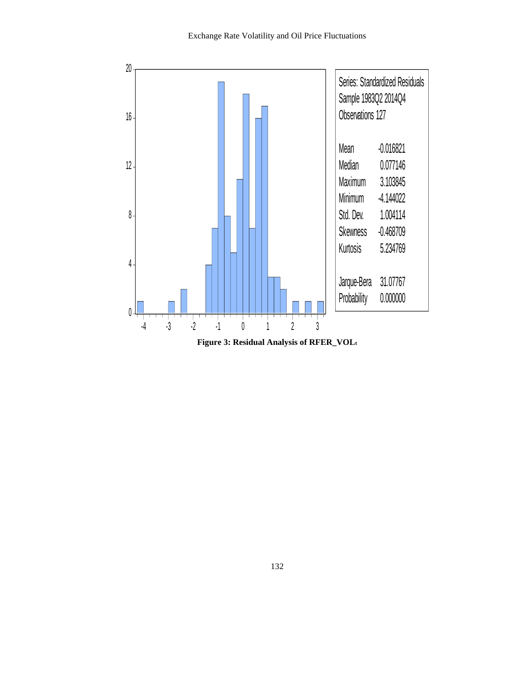

**Figure 3: Residual Analysis of RFER\_VOL<sup>t</sup>**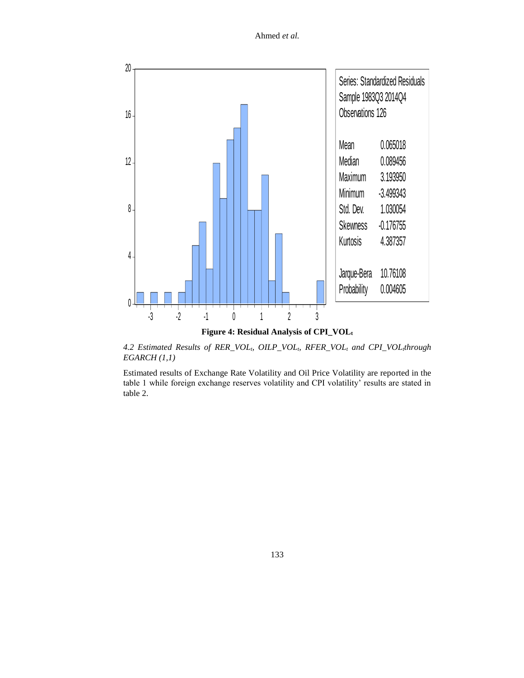

*4.2 Estimated Results of RER\_VOLt, OILP\_VOLt, RFER\_VOL<sup>t</sup> and CPI\_VOLtthrough EGARCH (1,1)* 

Estimated results of Exchange Rate Volatility and Oil Price Volatility are reported in the table 1 while foreign exchange reserves volatility and CPI volatility' results are stated in table 2.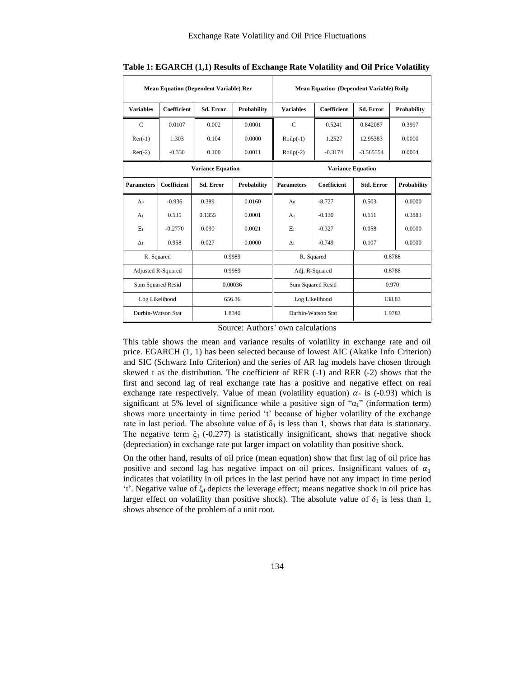| <b>Mean Equation (Dependent Variable) Rer</b> |                          |                  |             | <b>Mean Equation (Dependent Variable) Roilp</b> |                              |                   |             |
|-----------------------------------------------|--------------------------|------------------|-------------|-------------------------------------------------|------------------------------|-------------------|-------------|
| <b>Variables</b>                              | <b>Coefficient</b>       | <b>Sd. Error</b> | Probability | <b>Variables</b>                                | <b>Coefficient</b>           | <b>Sd. Error</b>  | Probability |
| $\mathcal{C}$                                 | 0.0107                   | 0.002            | 0.0001      | $\mathbf C$                                     | 0.5241                       | 0.842087          | 0.3997      |
| $\text{Re}r(-1)$                              | 1.303                    | 0.104            | 0.0000      | $Roilp(-1)$                                     | 1.2527                       | 12.95383          | 0.0000      |
| $\text{Re}r(-2)$                              | $-0.330$                 | 0.100            | 0.0011      | $Roilp(-2)$                                     | $-0.3174$                    | $-3.565554$       | 0.0004      |
| <b>Variance Equation</b>                      |                          |                  |             | <b>Variance Equation</b>                        |                              |                   |             |
| <b>Parameters</b>                             | <b>Coefficient</b>       | <b>Sd. Error</b> | Probability | <b>Parameters</b>                               | <b>Coefficient</b>           | <b>Std. Error</b> | Probability |
| A <sub>0</sub>                                | $-0.936$                 | 0.389            | 0.0160      | A <sub>0</sub>                                  | $-8.727$                     | 0.503             | 0.0000      |
| A <sub>1</sub>                                | 0.535                    | 0.1355           | 0.0001      | A <sub>1</sub>                                  | $-0.130$                     | 0.151             | 0.3883      |
| $\Sigma_1$                                    | $-0.2770$                | 0.090            | 0.0021      | $\Xi_1$                                         | $-0.327$                     | 0.058             | 0.0000      |
| $\Delta_1$                                    | 0.958                    | 0.027            | 0.0000      | $\Delta$ <sub>1</sub>                           | $-0.749$                     | 0.107             | 0.0000      |
|                                               | R. Squared<br>0.9989     |                  |             | R. Squared<br>0.8788                            |                              |                   |             |
| Adjusted R-Squared                            |                          | 0.9989           |             |                                                 | Adj. R-Squared               | 0.8788            |             |
| <b>Sum Squared Resid</b>                      |                          | 0.00036          |             | <b>Sum Squared Resid</b>                        |                              | 0.970             |             |
|                                               | Log Likelihood<br>656.36 |                  |             | Log Likelihood<br>138.83                        |                              |                   |             |
| Durbin-Watson Stat                            |                          |                  | 1.8340      |                                                 | Durbin-Watson Stat<br>1.9783 |                   |             |

**Table 1: EGARCH (1,1) Results of Exchange Rate Volatility and Oil Price Volatility** 

Source: Authors' own calculations

This table shows the mean and variance results of volatility in exchange rate and oil price. EGARCH (1, 1) has been selected because of lowest AIC (Akaike Info Criterion) and SIC (Schwarz Info Criterion) and the series of AR lag models have chosen through skewed t as the distribution. The coefficient of RER (-1) and RER (-2) shows that the first and second lag of real exchange rate has a positive and negative effect on real exchange rate respectively. Value of mean (volatility equation)  $\alpha$  is (-0.93) which is significant at 5% level of significance while a positive sign of " $\alpha_1$ " (information term) shows more uncertainty in time period 't' because of higher volatility of the exchange rate in last period. The absolute value of  $\delta_1$  is less than 1, shows that data is stationary. The negative term  $\xi_1$  (-0.277) is statistically insignificant, shows that negative shock (depreciation) in exchange rate put larger impact on volatility than positive shock.

On the other hand, results of oil price (mean equation) show that first lag of oil price has positive and second lag has negative impact on oil prices. Insignificant values of  $\alpha_1$ indicates that volatility in oil prices in the last period have not any impact in time period 't'. Negative value of ξ1 depicts the leverage effect; means negative shock in oil price has larger effect on volatility than positive shock). The absolute value of  $\delta_1$  is less than 1, shows absence of the problem of a unit root.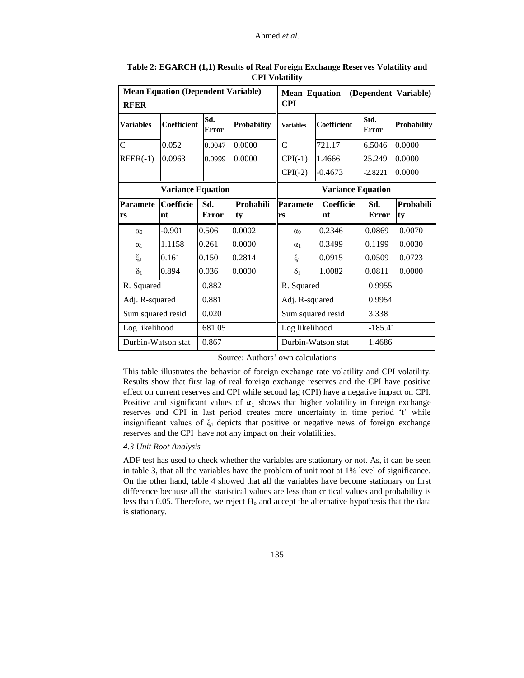| <b>RFER</b>              | <b>Mean Equation (Dependent Variable)</b> |                          |                            | <b>Mean Equation</b><br>CPI |                    |                      | (Dependent Variable) |  |
|--------------------------|-------------------------------------------|--------------------------|----------------------------|-----------------------------|--------------------|----------------------|----------------------|--|
| <b>Variables</b>         | Coefficient                               | Sd.<br><b>Error</b>      | Probability                | <b>Variables</b>            | <b>Coefficient</b> | Std.<br><b>Error</b> | Probability          |  |
| $\overline{C}$           | 0.052                                     | 0.0047                   | 0.0000                     | $\mathbf C$                 | 721.17             | 6.5046               | 0.0000               |  |
| $RFER(-1)$               | 0.0963                                    | 0.0999                   | 0.0000                     | $CPI(-1)$                   | 1.4666             | 25.249               | 0.0000               |  |
|                          |                                           |                          |                            | $CPI(-2)$                   | $-0.4673$          | $-2.8221$            | 0.0000               |  |
| <b>Variance Equation</b> |                                           | <b>Variance Equation</b> |                            |                             |                    |                      |                      |  |
| <b>Paramete</b>          | <b>Coefficie</b>                          | Sd.                      | Probabili                  | Paramete                    | Coefficie          | Sd.                  | Probabili            |  |
| rs                       | nt                                        | <b>Error</b>             | ty                         | lrs                         | nt                 | Error                | ty                   |  |
| $\alpha_0$               | $-0.901$                                  | 0.506                    | 0.0002                     | $\alpha_0$                  | 0.2346             | 0.0869               | 0.0070               |  |
| $\alpha_1$               | 1.1158                                    | 0.261                    | 0.0000                     | $\alpha_1$                  | 0.3499             | 0.1199               | 0.0030               |  |
| $\xi_1$                  | 0.161                                     | 0.150                    | 0.2814                     | $\xi_1$                     | 0.0915             | 0.0509               | 0.0723               |  |
| $\delta_1$               | 0.894                                     | 0.036                    | 0.0000                     | $\delta_1$                  | 1.0082             | 0.0811               | 0.0000               |  |
| R. Squared               |                                           | 0.882                    |                            | R. Squared                  |                    | 0.9955               |                      |  |
| Adj. R-squared<br>0.881  |                                           |                          | Adj. R-squared<br>0.9954   |                             |                    |                      |                      |  |
|                          | Sum squared resid<br>0.020                |                          | Sum squared resid<br>3.338 |                             |                    |                      |                      |  |
| Log likelihood           | 681.05                                    |                          | Log likelihood             |                             |                    | $-185.41$            |                      |  |
| Durbin-Watson stat       |                                           | 0.867                    |                            | Durbin-Watson stat          |                    | 1.4686               |                      |  |

**Table 2: EGARCH (1,1) Results of Real Foreign Exchange Reserves Volatility and CPI Volatility**

Source: Authors' own calculations

This table illustrates the behavior of foreign exchange rate volatility and CPI volatility. Results show that first lag of real foreign exchange reserves and the CPI have positive effect on current reserves and CPI while second lag (CPI) have a negative impact on CPI. Positive and significant values of  $\alpha_1$  shows that higher volatility in foreign exchange reserves and CPI in last period creates more uncertainty in time period 't' while insignificant values of  $\xi_1$  depicts that positive or negative news of foreign exchange reserves and the CPI have not any impact on their volatilities.

## *4.3 Unit Root Analysis*

ADF test has used to check whether the variables are stationary or not. As, it can be seen in table 3, that all the variables have the problem of unit root at 1% level of significance. On the other hand, table 4 showed that all the variables have become stationary on first difference because all the statistical values are less than critical values and probability is less than 0.05. Therefore, we reject  $H_0$  and accept the alternative hypothesis that the data is stationary.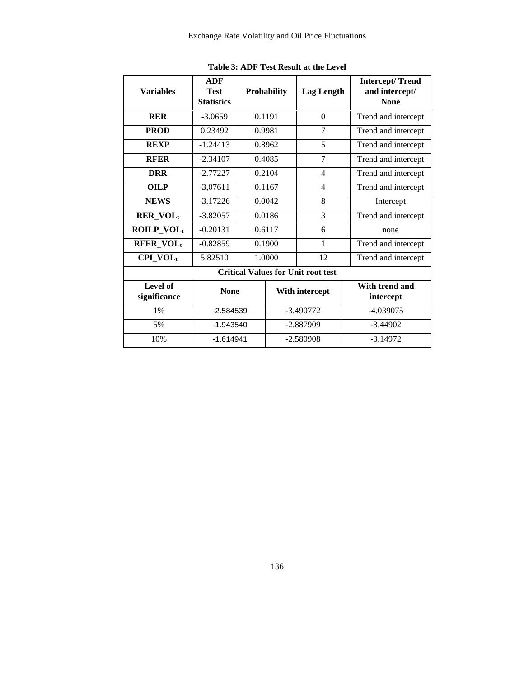| <b>Variables</b>         | <b>ADF</b><br><b>Test</b><br><b>Statistics</b> |             | <b>Probability</b> | <b>Lag Length</b>                         | <b>Intercept/Trend</b><br>and intercept/<br><b>None</b> |
|--------------------------|------------------------------------------------|-------------|--------------------|-------------------------------------------|---------------------------------------------------------|
| <b>RER</b>               | $-3.0659$                                      | 0.1191      |                    | $\theta$                                  | Trend and intercept                                     |
| <b>PROD</b>              | 0.23492                                        |             | 0.9981             | $\overline{7}$                            | Trend and intercept                                     |
| <b>REXP</b>              | $-1.24413$                                     |             | 0.8962             | 5                                         | Trend and intercept                                     |
| <b>RFER</b>              | $-2.34107$                                     |             | 0.4085             | 7                                         | Trend and intercept                                     |
| <b>DRR</b>               | $-2.77227$                                     |             | 0.2104             | $\overline{4}$                            | Trend and intercept                                     |
| <b>OILP</b>              | $-3.07611$                                     | 0.1167      |                    | $\overline{4}$                            | Trend and intercept                                     |
| <b>NEWS</b>              | $-3.17226$                                     | 0.0042      |                    | 8                                         | Intercept                                               |
| <b>RER_VOLt</b>          | $-3.82057$                                     | 0.0186      |                    | 3                                         | Trend and intercept                                     |
| ROILP_VOLt               | $-0.20131$                                     | 0.6117      |                    | 6                                         | none                                                    |
| <b>RFER_VOLt</b>         | $-0.82859$                                     |             | 0.1900             | 1                                         | Trend and intercept                                     |
| $CPI_VOL_t$              | 5.82510                                        |             | 1.0000             | 12                                        | Trend and intercept                                     |
|                          |                                                |             |                    | <b>Critical Values for Unit root test</b> |                                                         |
| Level of<br>significance | <b>None</b>                                    |             |                    | With intercept                            | With trend and<br>intercept                             |
| $1\%$                    |                                                | $-2.584539$ |                    | $-3.490772$                               | $-4.039075$                                             |
| 5%                       | $-1.943540$                                    |             |                    | -2.887909                                 | $-3.44902$                                              |
| 10%                      | $-1.614941$                                    |             | $-2.580908$        |                                           | $-3.14972$                                              |

**Table 3: ADF Test Result at the Level**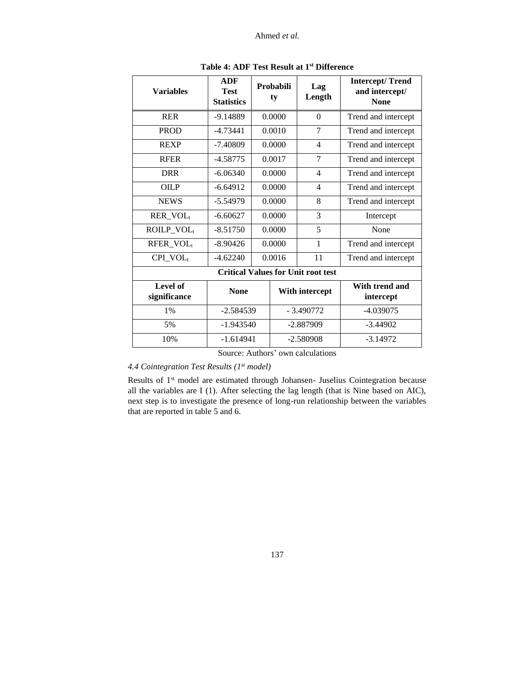| <b>Variables</b>         | <b>ADF</b><br><b>Test</b><br><b>Statistics</b> |        | Probabili<br>ty | Lag<br>Length                             | <b>Intercept/Trend</b><br>and intercept/<br><b>None</b> |
|--------------------------|------------------------------------------------|--------|-----------------|-------------------------------------------|---------------------------------------------------------|
| <b>RER</b>               | $-9.14889$                                     |        | 0.0000          | $\theta$                                  | Trend and intercept                                     |
| <b>PROD</b>              | $-4.73441$                                     |        | 0.0010          | 7                                         | Trend and intercept                                     |
| <b>REXP</b>              | $-7.40809$                                     |        | 0.0000          | $\overline{4}$                            | Trend and intercept                                     |
| <b>RFER</b>              | $-4.58775$                                     |        | 0.0017          | 7                                         | Trend and intercept                                     |
| <b>DRR</b>               | $-6.06340$                                     |        | 0.0000          | $\overline{4}$                            | Trend and intercept                                     |
| <b>OILP</b>              | $-6.64912$                                     | 0.0000 |                 | $\overline{4}$                            | Trend and intercept                                     |
| <b>NEWS</b>              | $-5.54979$                                     |        | 0.0000          | 8                                         | Trend and intercept                                     |
| RER_VOL <sub>t</sub>     | $-6.60627$                                     |        | 0.0000          | 3                                         | Intercept                                               |
| ROILP_VOL <sub>t</sub>   | $-8.51750$                                     |        | 0.0000          | 5                                         | None                                                    |
| RFER_VOL <sub>t</sub>    | $-8.90426$                                     |        | 0.0000          | $\mathbf{1}$                              | Trend and intercept                                     |
| $CPI_VOL_t$              | $-4.62240$                                     |        | 0.0016          | 11                                        | Trend and intercept                                     |
|                          |                                                |        |                 | <b>Critical Values for Unit root test</b> |                                                         |
| Level of<br>significance | <b>None</b>                                    |        |                 | With intercept                            | With trend and<br>intercept                             |
| $1\%$                    | $-2.584539$                                    |        |                 | $-3.490772$                               | $-4.039075$                                             |
| 5%                       | $-1.943540$                                    |        | $-2.887909$     |                                           | $-3.44902$                                              |
| 10%                      | $-1.614941$                                    |        | $-2.580908$     |                                           | $-3.14972$                                              |

**Table 4: ADF Test Result at 1st Difference**

Source: Authors' own calculations

*4.4 Cointegration Test Results (1st model)*

Results of 1st model are estimated through Johansen- Juselius Cointegration because all the variables are I (1). After selecting the lag length (that is Nine based on AIC), next step is to investigate the presence of long-run relationship between the variables that are reported in table 5 and 6.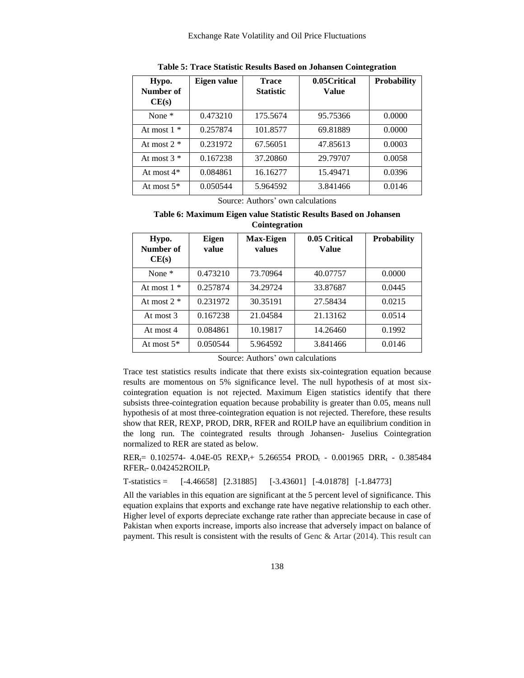| Hypo.<br>Number of<br>CE(s) | Eigen value | <b>Trace</b><br><b>Statistic</b> | 0.05 Critical<br>Value | <b>Probability</b> |
|-----------------------------|-------------|----------------------------------|------------------------|--------------------|
| None $*$                    | 0.473210    | 175.5674                         | 95.75366               | 0.0000             |
| At most $1 *$               | 0.257874    | 101.8577                         | 69.81889               | 0.0000             |
| At most $2 *$               | 0.231972    | 67.56051                         | 47.85613               | 0.0003             |
| At most $3 *$               | 0.167238    | 37.20860                         | 29.79707               | 0.0058             |
| At most $4*$                | 0.084861    | 16.16277                         | 15.49471               | 0.0396             |
| At most $5^*$               | 0.050544    | 5.964592                         | 3.841466               | 0.0146             |

**Table 5: Trace Statistic Results Based on Johansen Cointegration**

Source: Authors' own calculations

# **Table 6: Maximum Eigen value Statistic Results Based on Johansen Cointegration**

| Hypo.<br>Number of<br>CE(s) | Eigen<br>value | <b>Max-Eigen</b><br>values | 0.05 Critical<br>Value | <b>Probability</b> |
|-----------------------------|----------------|----------------------------|------------------------|--------------------|
| None $*$                    | 0.473210       | 73.70964                   | 40.07757               | 0.0000             |
| At most $1 *$               | 0.257874       | 34.29724                   | 33.87687               | 0.0445             |
| At most $2 *$               | 0.231972       | 30.35191                   | 27.58434               | 0.0215             |
| At most 3                   | 0.167238       | 21.04584                   | 21.13162               | 0.0514             |
| At most 4                   | 0.084861       | 10.19817                   | 14.26460               | 0.1992             |
| At most $5^*$               | 0.050544       | 5.964592                   | 3.841466               | 0.0146             |

Source: Authors' own calculations

Trace test statistics results indicate that there exists six-cointegration equation because results are momentous on 5% significance level. The null hypothesis of at most sixcointegration equation is not rejected. Maximum Eigen statistics identify that there subsists three-cointegration equation because probability is greater than 0.05, means null hypothesis of at most three-cointegration equation is not rejected. Therefore, these results show that RER, REXP, PROD, DRR, RFER and ROILP have an equilibrium condition in the long run. The cointegrated results through Johansen- Juselius Cointegration normalized to RER are stated as below.

 $RER_t= 0.102574 - 4.04E-05$   $REXP_t+ 5.266554$   $PROD_t - 0.001965$   $DRR_t - 0.385484$  $RFER_t - 0.042452ROILP_t$ 

 $T-statistics = [-4.46658] [2.31885] [-3.43601] [-4.01878] [-1.84773]$ 

All the variables in this equation are significant at the 5 percent level of significance. This equation explains that exports and exchange rate have negative relationship to each other. Higher level of exports depreciate exchange rate rather than appreciate because in case of Pakistan when exports increase, imports also increase that adversely impact on balance of payment. This result is consistent with the results of Genc & Artar (2014). This result can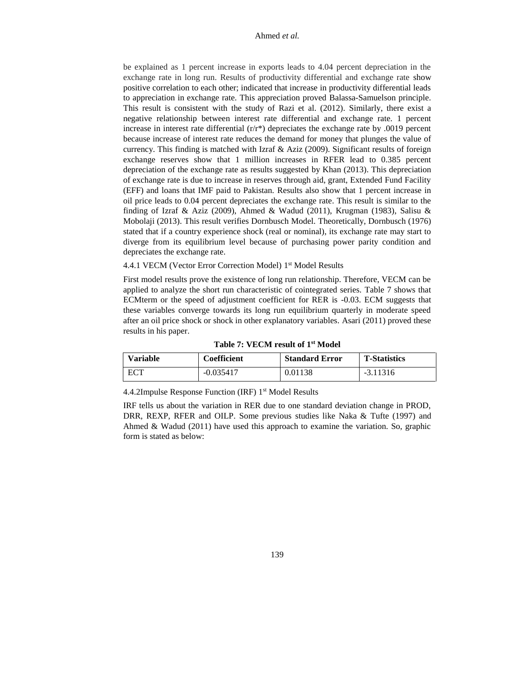be explained as 1 percent increase in exports leads to 4.04 percent depreciation in the exchange rate in long run. Results of productivity differential and exchange rate show positive correlation to each other; indicated that increase in productivity differential leads to appreciation in exchange rate. This appreciation proved Balassa-Samuelson principle. This result is consistent with the study of Razi et al. (2012). Similarly, there exist a negative relationship between interest rate differential and exchange rate. 1 percent increase in interest rate differential  $(r/r^*)$  depreciates the exchange rate by .0019 percent because increase of interest rate reduces the demand for money that plunges the value of currency. This finding is matched with Izraf & Aziz (2009). Significant results of foreign exchange reserves show that 1 million increases in RFER lead to 0.385 percent depreciation of the exchange rate as results suggested by Khan (2013). This depreciation of exchange rate is due to increase in reserves through aid, grant, Extended Fund Facility (EFF) and loans that IMF paid to Pakistan. Results also show that 1 percent increase in oil price leads to 0.04 percent depreciates the exchange rate. This result is similar to the finding of Izraf & Aziz (2009), Ahmed & Wadud (2011), Krugman (1983), Salisu & Mobolaji (2013). This result verifies Dornbusch Model. Theoretically, Dornbusch (1976) stated that if a country experience shock (real or nominal), its exchange rate may start to diverge from its equilibrium level because of purchasing power parity condition and depreciates the exchange rate.

4.4.1 VECM (Vector Error Correction Model) 1 st Model Results

First model results prove the existence of long run relationship. Therefore, VECM can be applied to analyze the short run characteristic of cointegrated series. Table 7 shows that ECMterm or the speed of adjustment coefficient for RER is -0.03. ECM suggests that these variables converge towards its long run equilibrium quarterly in moderate speed after an oil price shock or shock in other explanatory variables. Asari (2011) proved these results in his paper.

| <b>Variable</b> | <b>Coefficient</b> | <b>Standard Error</b> | <b>T-Statistics</b> |
|-----------------|--------------------|-----------------------|---------------------|
| ECT             | $-0.035417$        | 0.01138               | $-3.11316$          |

4.4.2Impulse Response Function (IRF) 1st Model Results

IRF tells us about the variation in RER due to one standard deviation change in PROD, DRR, REXP, RFER and OILP. Some previous studies like Naka & Tufte (1997) and Ahmed & Wadud (2011) have used this approach to examine the variation. So, graphic form is stated as below: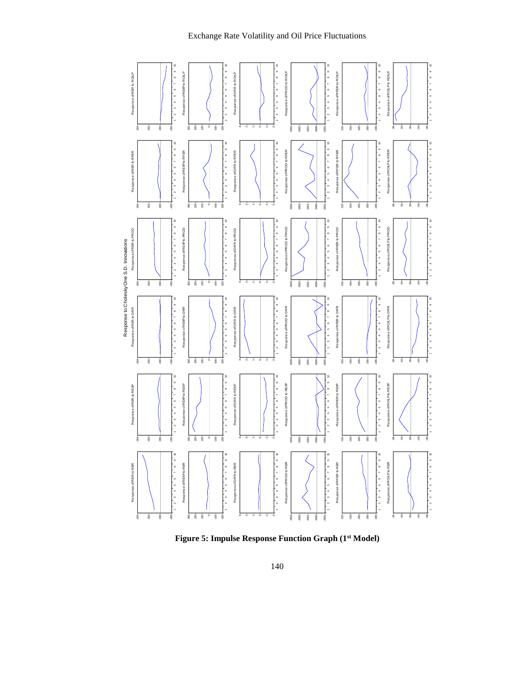## Exchange Rate Volatility and Oil Price Fluctuations



**Figure 5: Impulse Response Function Graph (1st Model)**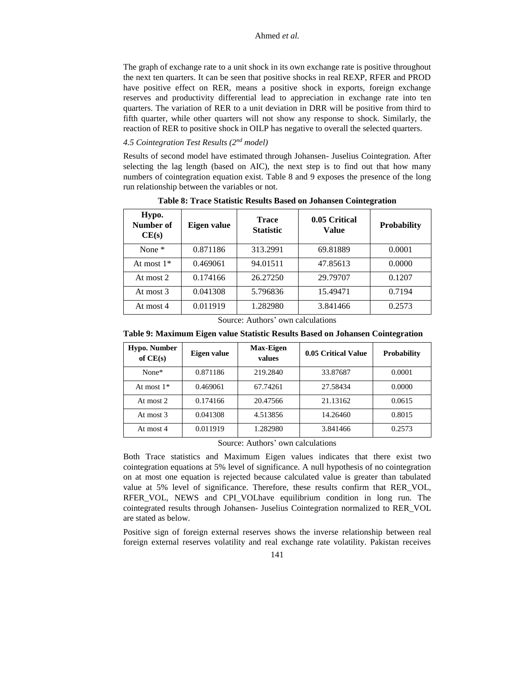The graph of exchange rate to a unit shock in its own exchange rate is positive throughout the next ten quarters. It can be seen that positive shocks in real REXP, RFER and PROD have positive effect on RER, means a positive shock in exports, foreign exchange reserves and productivity differential lead to appreciation in exchange rate into ten quarters. The variation of RER to a unit deviation in DRR will be positive from third to fifth quarter, while other quarters will not show any response to shock. Similarly, the reaction of RER to positive shock in OILP has negative to overall the selected quarters.

# *4.5 Cointegration Test Results (2nd model)*

Results of second model have estimated through Johansen- Juselius Cointegration. After selecting the lag length (based on AIC), the next step is to find out that how many numbers of cointegration equation exist. Table 8 and 9 exposes the presence of the long run relationship between the variables or not.

| Hypo.<br>Number of<br>CE(s) | Eigen value | <b>Trace</b><br><b>Statistic</b> | 0.05 Critical<br>Value | Probability |
|-----------------------------|-------------|----------------------------------|------------------------|-------------|
| None $*$                    | 0.871186    | 313.2991                         | 69.81889               | 0.0001      |
| At most $1*$                | 0.469061    | 94.01511                         | 47.85613               | 0.0000      |
| At most 2                   | 0.174166    | 26.27250                         | 29.79707               | 0.1207      |
| At most 3                   | 0.041308    | 5.796836                         | 15.49471               | 0.7194      |
| At most 4                   | 0.011919    | 1.282980                         | 3.841466               | 0.2573      |

**Table 8: Trace Statistic Results Based on Johansen Cointegration**

Source: Authors' own calculations

**Table 9: Maximum Eigen value Statistic Results Based on Johansen Cointegration**

| <b>Hypo. Number</b><br>of $CE(s)$ | Eigen value | <b>Max-Eigen</b><br>values | 0.05 Critical Value | <b>Probability</b> |
|-----------------------------------|-------------|----------------------------|---------------------|--------------------|
| None*                             | 0.871186    | 219.2840                   | 33.87687            | 0.0001             |
| At most $1*$                      | 0.469061    | 67.74261                   | 27.58434            | 0.0000             |
| At most 2                         | 0.174166    | 20.47566                   | 21.13162            | 0.0615             |
| At most 3                         | 0.041308    | 4.513856                   | 14.26460            | 0.8015             |
| At most 4                         | 0.011919    | 1.282980                   | 3.841466            | 0.2573             |
|                                   | $\sim$      | $\cdots$                   | $\sim$ $\sim$       |                    |

Source: Authors' own calculations

Both Trace statistics and Maximum Eigen values indicates that there exist two cointegration equations at 5% level of significance. A null hypothesis of no cointegration on at most one equation is rejected because calculated value is greater than tabulated value at 5% level of significance. Therefore, these results confirm that RER\_VOL, RFER\_VOL, NEWS and CPI\_VOLhave equilibrium condition in long run. The cointegrated results through Johansen- Juselius Cointegration normalized to RER\_VOL are stated as below.

Positive sign of foreign external reserves shows the inverse relationship between real foreign external reserves volatility and real exchange rate volatility. Pakistan receives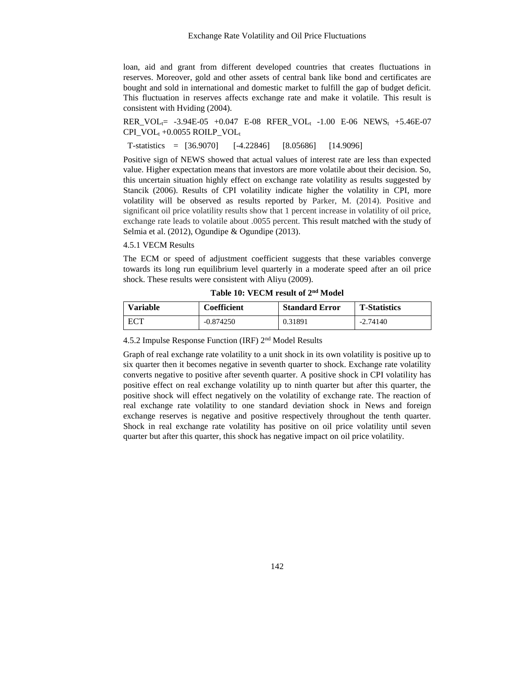loan, aid and grant from different developed countries that creates fluctuations in reserves. Moreover, gold and other assets of central bank like bond and certificates are bought and sold in international and domestic market to fulfill the gap of budget deficit. This fluctuation in reserves affects exchange rate and make it volatile. This result is consistent with Hviding (2004).

RER VOL<sub>t</sub>= -3.94E-05 +0.047 E-08 RFER VOL<sub>t</sub> -1.00 E-06 NEWS<sub>t</sub> +5.46E-07  $CPI$ <sub>t</sub> +0.0055 ROILP\_VOL<sub>t</sub>

T-statistics = [36.9070] [-4.22846] [8.05686] [14.9096]

Positive sign of NEWS showed that actual values of interest rate are less than expected value. Higher expectation means that investors are more volatile about their decision. So, this uncertain situation highly effect on exchange rate volatility as results suggested by Stancik (2006). Results of CPI volatility indicate higher the volatility in CPI, more volatility will be observed as results reported by Parker, M. (2014). Positive and significant oil price volatility results show that 1 percent increase in volatility of oil price, exchange rate leads to volatile about .0055 percent. This result matched with the study of Selmia et al. (2012), Ogundipe & Ogundipe (2013).

4.5.1 VECM Results

The ECM or speed of adjustment coefficient suggests that these variables converge towards its long run equilibrium level quarterly in a moderate speed after an oil price shock. These results were consistent with Aliyu (2009).

#### **Table 10: VECM result of 2nd Model**

| <b>Variable</b> | Coefficient | <b>Standard Error</b> | <b>T-Statistics</b> |
|-----------------|-------------|-----------------------|---------------------|
| ECT             | $-0.874250$ | 0.31891               | $-2.74140$          |

4.5.2 Impulse Response Function (IRF) 2nd Model Results

Graph of real exchange rate volatility to a unit shock in its own volatility is positive up to six quarter then it becomes negative in seventh quarter to shock. Exchange rate volatility converts negative to positive after seventh quarter. A positive shock in CPI volatility has positive effect on real exchange volatility up to ninth quarter but after this quarter, the positive shock will effect negatively on the volatility of exchange rate. The reaction of real exchange rate volatility to one standard deviation shock in News and foreign exchange reserves is negative and positive respectively throughout the tenth quarter. Shock in real exchange rate volatility has positive on oil price volatility until seven quarter but after this quarter, this shock has negative impact on oil price volatility.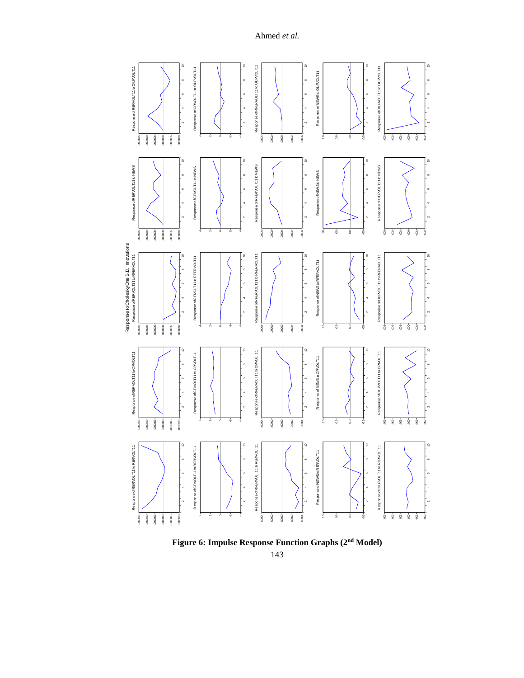

**Figure 6: Impulse Response Function Graphs (2nd Model)**

<sup>143</sup>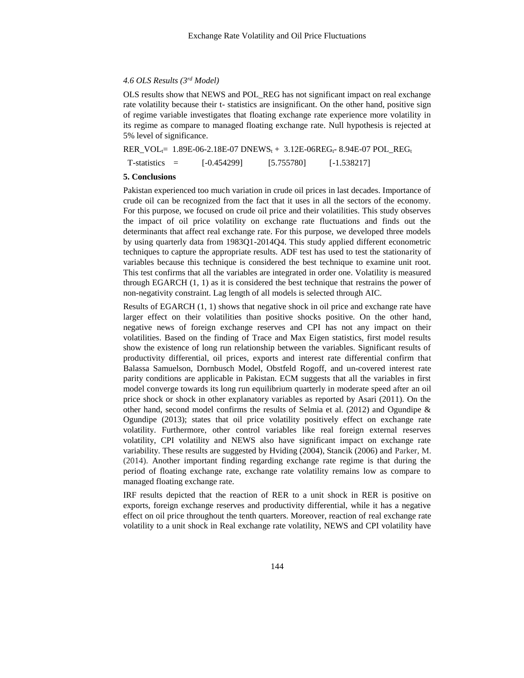# *4.6 OLS Results (3rd Model)*

OLS results show that NEWS and POL\_REG has not significant impact on real exchange rate volatility because their t- statistics are insignificant. On the other hand, positive sign of regime variable investigates that floating exchange rate experience more volatility in its regime as compare to managed floating exchange rate. Null hypothesis is rejected at 5% level of significance.

 $RER_VOL_1 = 1.89E-06-2.18E-07 DNEWS_t + 3.12E-06REG_t - 8.94E-07 POL_1EGG_t$ 

 $T-statistics = [-0.454299]$   $[5.755780]$   $[-1.538217]$ 

#### **5. Conclusions**

Pakistan experienced too much variation in crude oil prices in last decades. Importance of crude oil can be recognized from the fact that it uses in all the sectors of the economy. For this purpose, we focused on crude oil price and their volatilities. This study observes the impact of oil price volatility on exchange rate fluctuations and finds out the determinants that affect real exchange rate. For this purpose, we developed three models by using quarterly data from 1983Q1-2014Q4. This study applied different econometric techniques to capture the appropriate results. ADF test has used to test the stationarity of variables because this technique is considered the best technique to examine unit root. This test confirms that all the variables are integrated in order one. Volatility is measured through EGARCH  $(1, 1)$  as it is considered the best technique that restrains the power of non-negativity constraint. Lag length of all models is selected through AIC.

Results of EGARCH (1, 1) shows that negative shock in oil price and exchange rate have larger effect on their volatilities than positive shocks positive. On the other hand, negative news of foreign exchange reserves and CPI has not any impact on their volatilities. Based on the finding of Trace and Max Eigen statistics, first model results show the existence of long run relationship between the variables. Significant results of productivity differential, oil prices, exports and interest rate differential confirm that Balassa Samuelson, Dornbusch Model, Obstfeld Rogoff, and un-covered interest rate parity conditions are applicable in Pakistan. ECM suggests that all the variables in first model converge towards its long run equilibrium quarterly in moderate speed after an oil price shock or shock in other explanatory variables as reported by Asari (2011). On the other hand, second model confirms the results of Selmia et al. (2012) and Ogundipe  $\&$ Ogundipe (2013); states that oil price volatility positively effect on exchange rate volatility. Furthermore, other control variables like real foreign external reserves volatility, CPI volatility and NEWS also have significant impact on exchange rate variability. These results are suggested by Hviding (2004), Stancik (2006) and Parker, M. (2014). Another important finding regarding exchange rate regime is that during the period of floating exchange rate, exchange rate volatility remains low as compare to managed floating exchange rate.

IRF results depicted that the reaction of RER to a unit shock in RER is positive on exports, foreign exchange reserves and productivity differential, while it has a negative effect on oil price throughout the tenth quarters. Moreover, reaction of real exchange rate volatility to a unit shock in Real exchange rate volatility, NEWS and CPI volatility have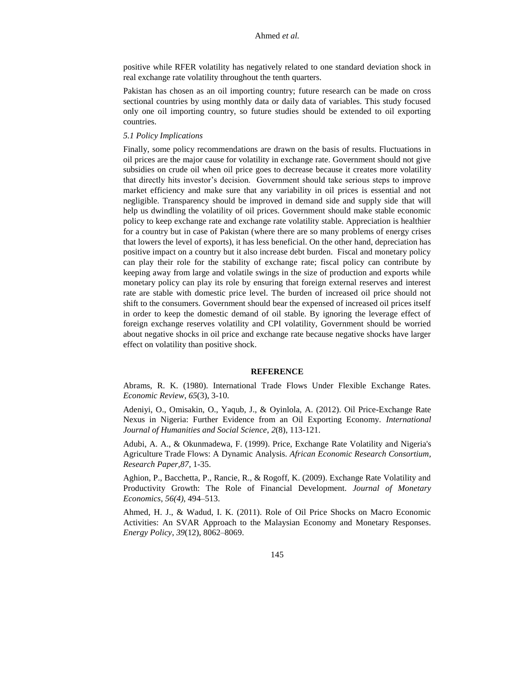positive while RFER volatility has negatively related to one standard deviation shock in real exchange rate volatility throughout the tenth quarters.

Pakistan has chosen as an oil importing country; future research can be made on cross sectional countries by using monthly data or daily data of variables. This study focused only one oil importing country, so future studies should be extended to oil exporting countries.

#### *5.1 Policy Implications*

Finally, some policy recommendations are drawn on the basis of results. Fluctuations in oil prices are the major cause for volatility in exchange rate. Government should not give subsidies on crude oil when oil price goes to decrease because it creates more volatility that directly hits investor's decision. Government should take serious steps to improve market efficiency and make sure that any variability in oil prices is essential and not negligible. Transparency should be improved in demand side and supply side that will help us dwindling the volatility of oil prices. Government should make stable economic policy to keep exchange rate and exchange rate volatility stable. Appreciation is healthier for a country but in case of Pakistan (where there are so many problems of energy crises that lowers the level of exports), it has less beneficial. On the other hand, depreciation has positive impact on a country but it also increase debt burden. Fiscal and monetary policy can play their role for the stability of exchange rate; fiscal policy can contribute by keeping away from large and volatile swings in the size of production and exports while monetary policy can play its role by ensuring that foreign external reserves and interest rate are stable with domestic price level. The burden of increased oil price should not shift to the consumers. Government should bear the expensed of increased oil prices itself in order to keep the domestic demand of oil stable. By ignoring the leverage effect of foreign exchange reserves volatility and CPI volatility, Government should be worried about negative shocks in oil price and exchange rate because negative shocks have larger effect on volatility than positive shock.

#### **REFERENCE**

Abrams, R. K. (1980). International Trade Flows Under Flexible Exchange Rates. *Economic Review*, *65*(3), 3-10.

Adeniyi, O., Omisakin, O., Yaqub, J., & Oyinlola, A. (2012). Oil Price-Exchange Rate Nexus in Nigeria: Further Evidence from an Oil Exporting Economy. *International Journal of Humanities and Social Science*, *2*(8), 113-121.

Adubi, A. A., & Okunmadewa, F. (1999). Price, Exchange Rate Volatility and Nigeria's Agriculture Trade Flows: A Dynamic Analysis. *African Economic Research Consortium, Research Paper,87*, 1-35.

Aghion, P., Bacchetta, P., Rancie, R., & Rogoff, K. (2009). Exchange Rate Volatility and Productivity Growth: The Role of Financial Development. *Journal of Monetary Economics*, *56(4)*, 494–513.

Ahmed, H. J., & Wadud, I. K. (2011). Role of Oil Price Shocks on Macro Economic Activities: An SVAR Approach to the Malaysian Economy and Monetary Responses. *Energy Policy*, *39*(12), 8062–8069.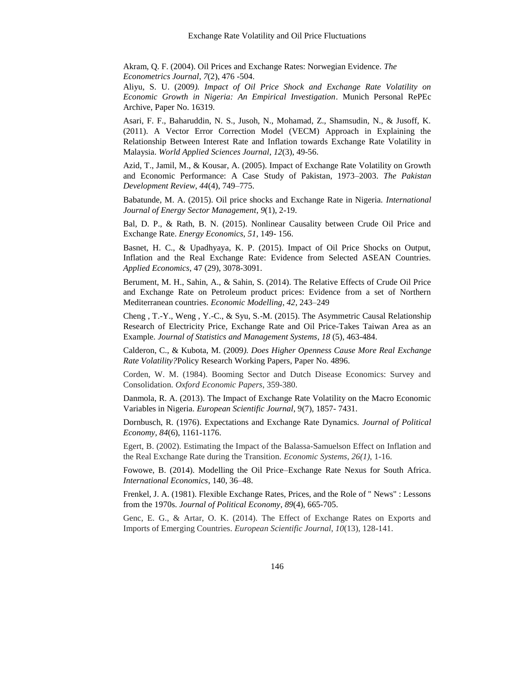Akram, Q. F. (2004). Oil Prices and Exchange Rates: Norwegian Evidence. *The Econometrics Journal*, *7*(2), 476 -504.

Aliyu, S. U. (2009*). Impact of Oil Price Shock and Exchange Rate Volatility on Economic Growth in Nigeria: An Empirical Investigation*. Munich Personal RePEc Archive, Paper No. 16319.

Asari, F. F., Baharuddin, N. S., Jusoh, N., Mohamad, Z., Shamsudin, N., & Jusoff, K. (2011). A Vector Error Correction Model (VECM) Approach in Explaining the Relationship Between Interest Rate and Inflation towards Exchange Rate Volatility in Malaysia. *World Applied Sciences Journal*, *12*(3), 49-56.

Azid, T., Jamil, M., & Kousar, A. (2005). Impact of Exchange Rate Volatility on Growth and Economic Performance: A Case Study of Pakistan, 1973–2003. *The Pakistan Development Review*, *44*(4), 749–775.

Babatunde, M. A. (2015). Oil price shocks and Exchange Rate in Nigeria. *International Journal of Energy Sector Management*, *9*(1), 2-19.

Bal, D. P., & Rath, B. N. (2015). Nonlinear Causality between Crude Oil Price and Exchange Rate. *Energy Economics*, *51*, 149- 156.

Basnet, H. C., & Upadhyaya, K. P. (2015). Impact of Oil Price Shocks on Output, Inflation and the Real Exchange Rate: Evidence from Selected ASEAN Countries. *Applied Economics*, 47 (29), 3078-3091.

Berument, M. H., Sahin, A., & Sahin, S. (2014). The Relative Effects of Crude Oil Price and Exchange Rate on Petroleum product prices: Evidence from a set of Northern Mediterranean countries. *Economic Modelling*, *42*, 243–249

Cheng , T.-Y., Weng , Y.-C., & Syu, S.-M. (2015). The Asymmetric Causal Relationship Research of Electricity Price, Exchange Rate and Oil Price-Takes Taiwan Area as an Example. *Journal of Statistics and Management Systems*, *18* (5), 463-484.

Calderon, C., & Kubota, M. (2009*). Does Higher Openness Cause More Real Exchange Rate Volatility?*Policy Research Working Papers, Paper No. 4896.

Corden, W. M. (1984). Booming Sector and Dutch Disease Economics: Survey and Consolidation. *Oxford Economic Papers*, 359-380.

Danmola, R. A. (2013). The Impact of Exchange Rate Volatility on the Macro Economic Variables in Nigeria. *European Scientific Journal*, 9(7), 1857- 7431.

Dornbusch, R. (1976). Expectations and Exchange Rate Dynamics. *Journal of Political Economy*, *84*(6), 1161-1176.

Egert, B. (2002). Estimating the Impact of the Balassa-Samuelson Effect on Inflation and the Real Exchange Rate during the Transition. *Economic Systems*, *26(1)*, 1-16.

Fowowe, B. (2014). Modelling the Oil Price–Exchange Rate Nexus for South Africa. *International Economics*, 140, 36–48.

Frenkel, J. A. (1981). Flexible Exchange Rates, Prices, and the Role of " News" : Lessons from the 1970s. *Journal of Political Economy*, *89*(4), 665-705.

Genc, E. G., & Artar, O. K. (2014). The Effect of Exchange Rates on Exports and Imports of Emerging Countries. *European Scientific Journal*, *10*(13), 128-141.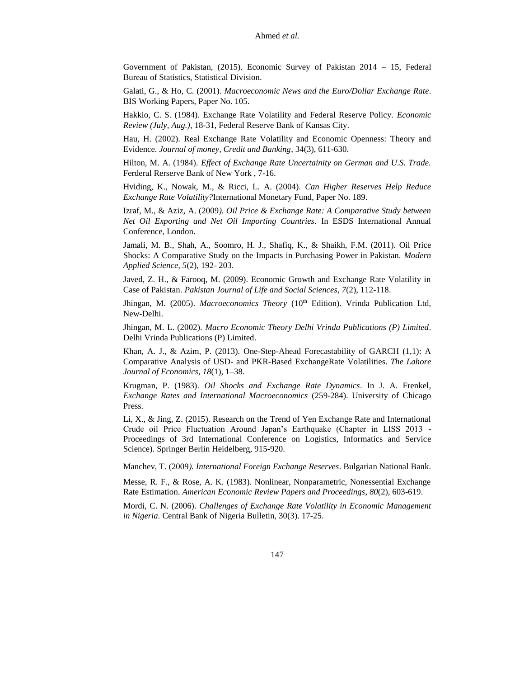Government of Pakistan, (2015). Economic Survey of Pakistan 2014 – 15, Federal Bureau of Statistics, Statistical Division.

Galati, G., & Ho, C. (2001). *Macroeconomic News and the Euro/Dollar Exchange Rate*. BIS Working Papers, Paper No. 105.

Hakkio, C. S. (1984). Exchange Rate Volatility and Federal Reserve Policy. *Economic Review (July, Aug.)*, 18-31, Federal Reserve Bank of Kansas City.

Hau, H. (2002). Real Exchange Rate Volatility and Economic Openness: Theory and Evidence. *Journal of money, Credit and Banking*, 34(3), 611-630.

Hilton, M. A. (1984). *Effect of Exchange Rate Uncertainity on German and U.S. Trade.* Ferderal Rerserve Bank of New York , 7-16.

Hviding, K., Nowak, M., & Ricci, L. A. (2004). *Can Higher Reserves Help Reduce Exchange Rate Volatility?*International Monetary Fund, Paper No. 189.

Izraf, M., & Aziz, A. (2009*). Oil Price & Exchange Rate: A Comparative Study between Net Oil Exporting and Net Oil Importing Countries*. In ESDS International Annual Conference, London.

Jamali, M. B., Shah, A., Soomro, H. J., Shafiq, K., & Shaikh, F.M. (2011). Oil Price Shocks: A Comparative Study on the Impacts in Purchasing Power in Pakistan. *Modern Applied Science*, *5*(2), 192- 203.

Javed, Z. H., & Farooq, M. (2009). Economic Growth and Exchange Rate Volatility in Case of Pakistan. *Pakistan Journal of Life and Social Sciences*, *7*(2), 112-118.

Jhingan, M. (2005). *Macroeconomics Theory* (10<sup>th</sup> Edition). Vrinda Publication Ltd, New-Delhi.

Jhingan, M. L. (2002). *Macro Economic Theory Delhi Vrinda Publications (P) Limited*. Delhi Vrinda Publications (P) Limited.

Khan, A. J., & Azim, P. (2013). One-Step-Ahead Forecastability of GARCH (1,1): A Comparative Analysis of USD- and PKR-Based ExchangeRate Volatilities. *The Lahore Journal of Economics*, *18*(1), 1–38.

Krugman, P. (1983). *Oil Shocks and Exchange Rate Dynamics*. In J. A. Frenkel, *Exchange Rates and International Macroeconomics* (259-284). University of Chicago Press.

Li, X., & Jing, Z. (2015). Research on the Trend of Yen Exchange Rate and International Crude oil Price Fluctuation Around Japan's Earthquake (Chapter in LISS 2013 - Proceedings of 3rd International Conference on Logistics, Informatics and Service Science). Springer Berlin Heidelberg, 915-920.

Manchev, T. (2009*). International Foreign Exchange Reserves*. Bulgarian National Bank.

Messe, R. F., & Rose, A. K. (1983). Nonlinear, Nonparametric, Nonessential Exchange Rate Estimation. *American Economic Review Papers and Proceedings*, *80*(2), 603-619.

Mordi, C. N. (2006). *Challenges of Exchange Rate Volatility in Economic Management in Nigeria.* Central Bank of Nigeria Bulletin, 30(3). 17-25.